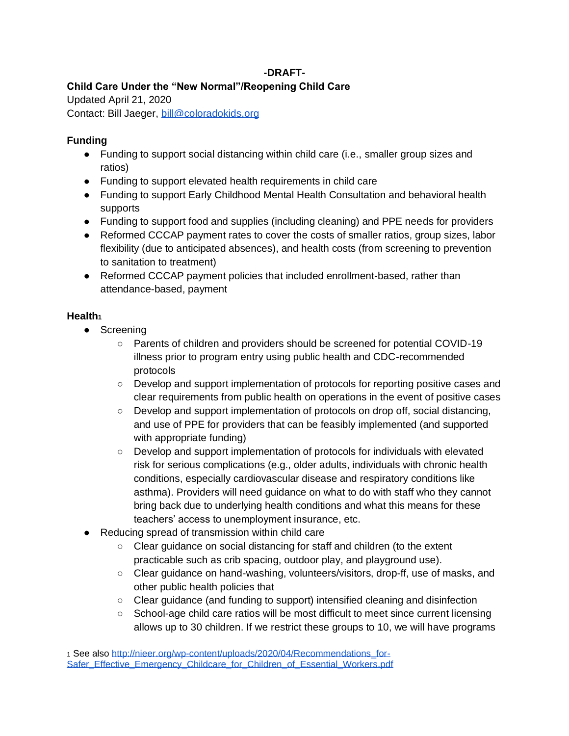### **-DRAFT-**

# **Child Care Under the "New Normal"/Reopening Child Care**

Updated April 21, 2020

Contact: Bill Jaeger, [bill@coloradokids.org](mailto:bill@coloradokids.org)

### **Funding**

- Funding to support social distancing within child care (i.e., smaller group sizes and ratios)
- Funding to support elevated health requirements in child care
- Funding to support Early Childhood Mental Health Consultation and behavioral health supports
- Funding to support food and supplies (including cleaning) and PPE needs for providers
- Reformed CCCAP payment rates to cover the costs of smaller ratios, group sizes, labor flexibility (due to anticipated absences), and health costs (from screening to prevention to sanitation to treatment)
- Reformed CCCAP payment policies that included enrollment-based, rather than attendance-based, payment

# **Health<sup>1</sup>**

- Screening
	- Parents of children and providers should be screened for potential COVID-19 illness prior to program entry using public health and CDC-recommended protocols
	- Develop and support implementation of protocols for reporting positive cases and clear requirements from public health on operations in the event of positive cases
	- Develop and support implementation of protocols on drop off, social distancing, and use of PPE for providers that can be feasibly implemented (and supported with appropriate funding)
	- Develop and support implementation of protocols for individuals with elevated risk for serious complications (e.g., older adults, individuals with chronic health conditions, especially cardiovascular disease and respiratory conditions like asthma). Providers will need guidance on what to do with staff who they cannot bring back due to underlying health conditions and what this means for these teachers' access to unemployment insurance, etc.
- Reducing spread of transmission within child care
	- Clear guidance on social distancing for staff and children (to the extent practicable such as crib spacing, outdoor play, and playground use).
	- Clear guidance on hand-washing, volunteers/visitors, drop-ff, use of masks, and other public health policies that
	- Clear guidance (and funding to support) intensified cleaning and disinfection
	- School-age child care ratios will be most difficult to meet since current licensing allows up to 30 children. If we restrict these groups to 10, we will have programs

<sup>1</sup> See also [http://nieer.org/wp-content/uploads/2020/04/Recommendations\\_for-](http://nieer.org/wp-content/uploads/2020/04/Recommendations_for-Safer_Effective_Emergency_Childcare_for_Children_of_Essential_Workers.pdf)[Safer\\_Effective\\_Emergency\\_Childcare\\_for\\_Children\\_of\\_Essential\\_Workers.pdf](http://nieer.org/wp-content/uploads/2020/04/Recommendations_for-Safer_Effective_Emergency_Childcare_for_Children_of_Essential_Workers.pdf)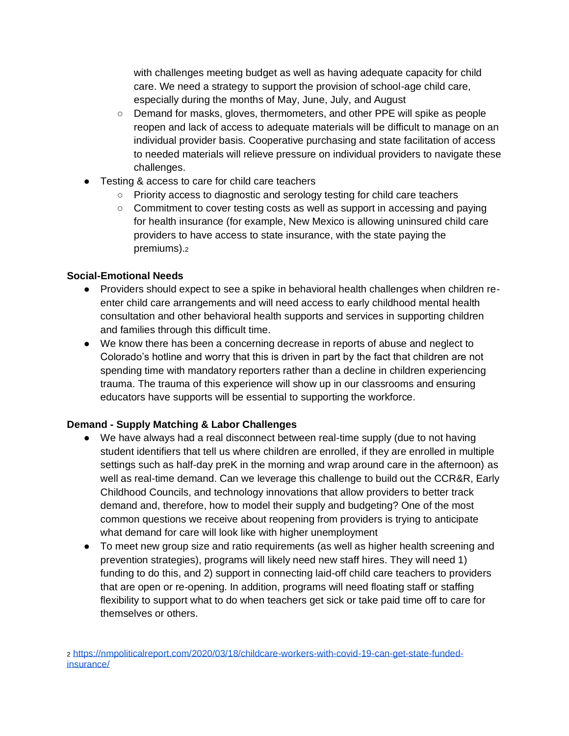with challenges meeting budget as well as having adequate capacity for child care. We need a strategy to support the provision of school-age child care, especially during the months of May, June, July, and August

- Demand for masks, gloves, thermometers, and other PPE will spike as people reopen and lack of access to adequate materials will be difficult to manage on an individual provider basis. Cooperative purchasing and state facilitation of access to needed materials will relieve pressure on individual providers to navigate these challenges.
- Testing & access to care for child care teachers
	- Priority access to diagnostic and serology testing for child care teachers
	- Commitment to cover testing costs as well as support in accessing and paying for health insurance (for example, New Mexico is allowing uninsured child care providers to have access to state insurance, with the state paying the premiums).<sup>2</sup>

### **Social-Emotional Needs**

- Providers should expect to see a spike in behavioral health challenges when children reenter child care arrangements and will need access to early childhood mental health consultation and other behavioral health supports and services in supporting children and families through this difficult time.
- We know there has been a concerning decrease in reports of abuse and neglect to Colorado's hotline and worry that this is driven in part by the fact that children are not spending time with mandatory reporters rather than a decline in children experiencing trauma. The trauma of this experience will show up in our classrooms and ensuring educators have supports will be essential to supporting the workforce.

# **Demand - Supply Matching & Labor Challenges**

- We have always had a real disconnect between real-time supply (due to not having student identifiers that tell us where children are enrolled, if they are enrolled in multiple settings such as half-day preK in the morning and wrap around care in the afternoon) as well as real-time demand. Can we leverage this challenge to build out the CCR&R, Early Childhood Councils, and technology innovations that allow providers to better track demand and, therefore, how to model their supply and budgeting? One of the most common questions we receive about reopening from providers is trying to anticipate what demand for care will look like with higher unemployment
- To meet new group size and ratio requirements (as well as higher health screening and prevention strategies), programs will likely need new staff hires. They will need 1) funding to do this, and 2) support in connecting laid-off child care teachers to providers that are open or re-opening. In addition, programs will need floating staff or staffing flexibility to support what to do when teachers get sick or take paid time off to care for themselves or others.